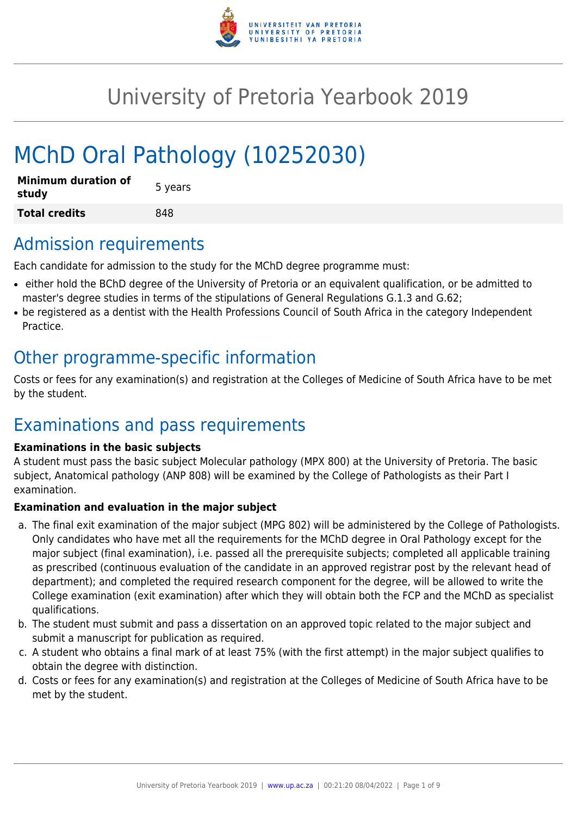

# University of Pretoria Yearbook 2019

# MChD Oral Pathology (10252030)

| <b>Minimum duration of</b><br>study | 5 years |
|-------------------------------------|---------|
| <b>Total credits</b>                | 848     |

### Admission requirements

Each candidate for admission to the study for the MChD degree programme must:

- either hold the BChD degree of the University of Pretoria or an equivalent qualification, or be admitted to master's degree studies in terms of the stipulations of General Regulations G.1.3 and G.62;
- be registered as a dentist with the Health Professions Council of South Africa in the category Independent Practice.

# Other programme-specific information

Costs or fees for any examination(s) and registration at the Colleges of Medicine of South Africa have to be met by the student.

# Examinations and pass requirements

#### **Examinations in the basic subjects**

A student must pass the basic subject Molecular pathology (MPX 800) at the University of Pretoria. The basic subject, Anatomical pathology (ANP 808) will be examined by the College of Pathologists as their Part I examination.

#### **Examination and evaluation in the major subject**

- a. The final exit examination of the major subject (MPG 802) will be administered by the College of Pathologists. Only candidates who have met all the requirements for the MChD degree in Oral Pathology except for the major subject (final examination), i.e. passed all the prerequisite subjects; completed all applicable training as prescribed (continuous evaluation of the candidate in an approved registrar post by the relevant head of department); and completed the required research component for the degree, will be allowed to write the College examination (exit examination) after which they will obtain both the FCP and the MChD as specialist qualifications.
- b. The student must submit and pass a dissertation on an approved topic related to the major subject and submit a manuscript for publication as required.
- c. A student who obtains a final mark of at least 75% (with the first attempt) in the major subject qualifies to obtain the degree with distinction.
- d. Costs or fees for any examination(s) and registration at the Colleges of Medicine of South Africa have to be met by the student.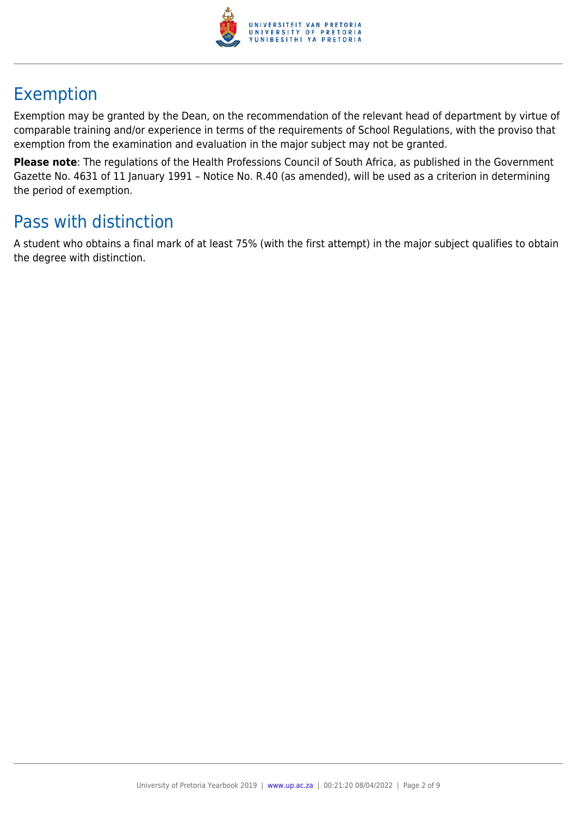

# Exemption

Exemption may be granted by the Dean, on the recommendation of the relevant head of department by virtue of comparable training and/or experience in terms of the requirements of School Regulations, with the proviso that exemption from the examination and evaluation in the major subject may not be granted.

**Please note**: The regulations of the Health Professions Council of South Africa, as published in the Government Gazette No. 4631 of 11 January 1991 – Notice No. R.40 (as amended), will be used as a criterion in determining the period of exemption.

## Pass with distinction

A student who obtains a final mark of at least 75% (with the first attempt) in the major subject qualifies to obtain the degree with distinction.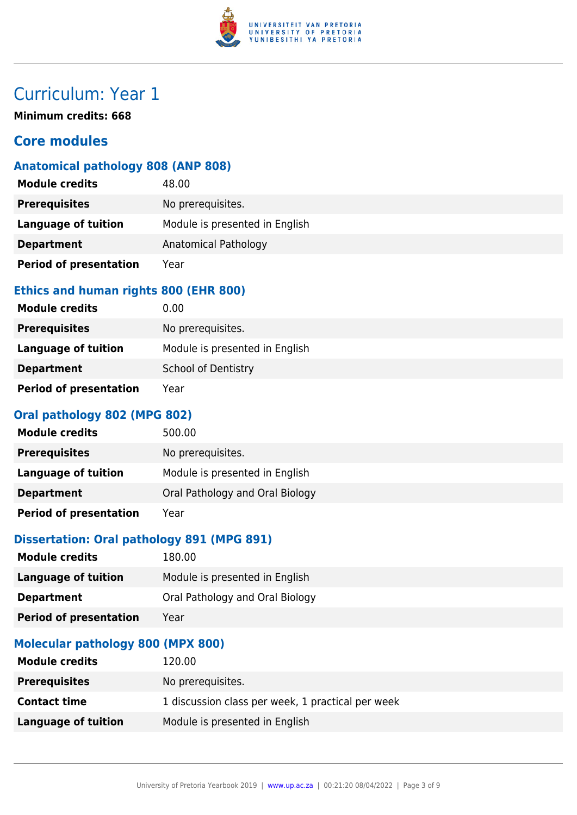

**Minimum credits: 668**

### **Core modules**

#### **Anatomical pathology 808 (ANP 808)**

| <b>Module credits</b>         | 48.00                          |
|-------------------------------|--------------------------------|
| <b>Prerequisites</b>          | No prerequisites.              |
| <b>Language of tuition</b>    | Module is presented in English |
| <b>Department</b>             | Anatomical Pathology           |
| <b>Period of presentation</b> | Year                           |

#### **Ethics and human rights 800 (EHR 800)**

| <b>Module credits</b>         | 0.00                           |
|-------------------------------|--------------------------------|
| <b>Prerequisites</b>          | No prerequisites.              |
| Language of tuition           | Module is presented in English |
| <b>Department</b>             | School of Dentistry            |
| <b>Period of presentation</b> | Year                           |

#### **Oral pathology 802 (MPG 802)**

| <b>Module credits</b>         | 500.00                          |
|-------------------------------|---------------------------------|
| <b>Prerequisites</b>          | No prerequisites.               |
| Language of tuition           | Module is presented in English  |
| <b>Department</b>             | Oral Pathology and Oral Biology |
| <b>Period of presentation</b> | Year                            |

#### **Dissertation: Oral pathology 891 (MPG 891)**

| <b>Module credits</b>             | 180.00                          |
|-----------------------------------|---------------------------------|
| <b>Language of tuition</b>        | Module is presented in English  |
| <b>Department</b>                 | Oral Pathology and Oral Biology |
| <b>Period of presentation</b>     | Year                            |
| Malacular ratheland 000 (MDV 000) |                                 |

#### **Molecular pathology 800 (MPX 800)**

| <b>Module credits</b> | 120.00                                            |
|-----------------------|---------------------------------------------------|
| <b>Prerequisites</b>  | No prerequisites.                                 |
| <b>Contact time</b>   | 1 discussion class per week, 1 practical per week |
| Language of tuition   | Module is presented in English                    |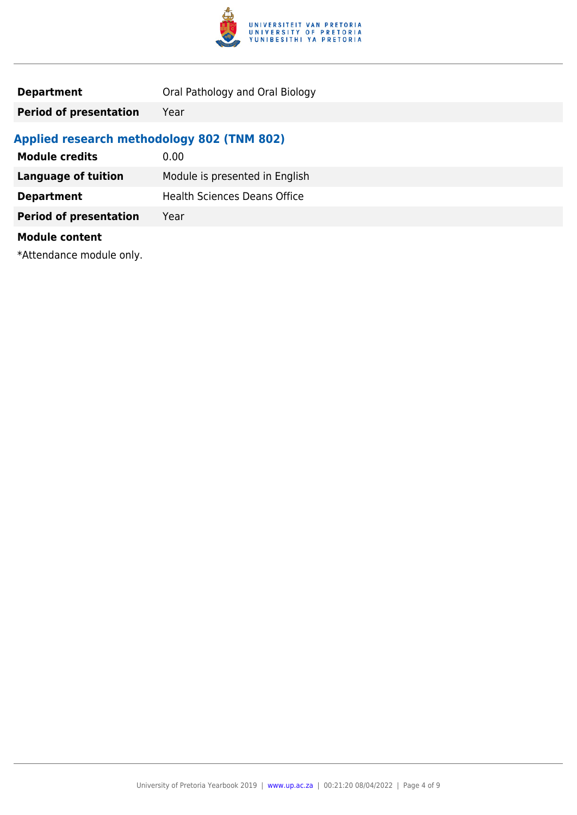

| <b>Department</b> | Oral Pathology and Oral Biology |
|-------------------|---------------------------------|
|-------------------|---------------------------------|

**Period of presentation** Year

### **Applied research methodology 802 (TNM 802)**

| <b>Module credits</b>         | 0.00                                |
|-------------------------------|-------------------------------------|
| <b>Language of tuition</b>    | Module is presented in English      |
| <b>Department</b>             | <b>Health Sciences Deans Office</b> |
| <b>Period of presentation</b> | Year                                |
| <b>Module content</b>         |                                     |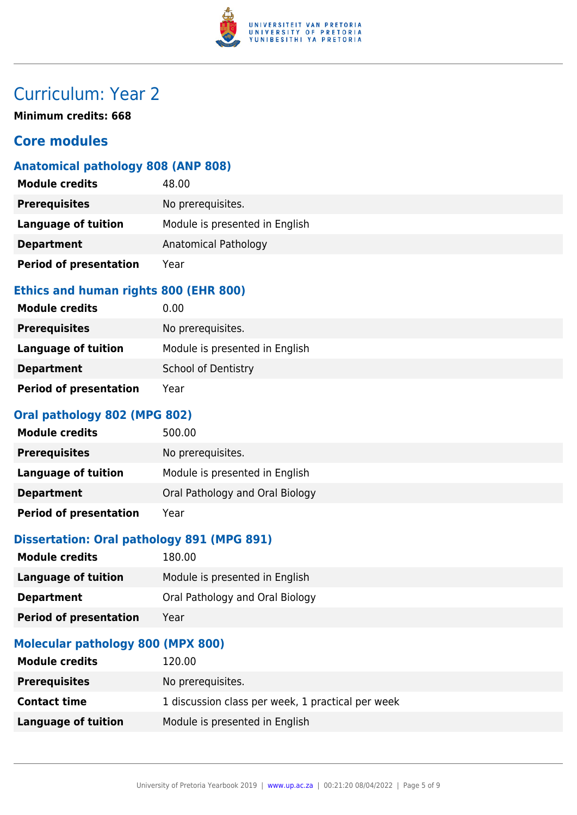

**Minimum credits: 668**

### **Core modules**

### **Anatomical pathology 808 (ANP 808)**

| <b>Module credits</b>         | 48.00                          |
|-------------------------------|--------------------------------|
| <b>Prerequisites</b>          | No prerequisites.              |
| <b>Language of tuition</b>    | Module is presented in English |
| <b>Department</b>             | Anatomical Pathology           |
| <b>Period of presentation</b> | Year                           |

#### **Ethics and human rights 800 (EHR 800)**

| <b>Module credits</b>         | 0.00                           |
|-------------------------------|--------------------------------|
| <b>Prerequisites</b>          | No prerequisites.              |
| Language of tuition           | Module is presented in English |
| <b>Department</b>             | <b>School of Dentistry</b>     |
| <b>Period of presentation</b> | Year                           |

#### **Oral pathology 802 (MPG 802)**

| <b>Module credits</b>         | 500.00                          |
|-------------------------------|---------------------------------|
| <b>Prerequisites</b>          | No prerequisites.               |
| Language of tuition           | Module is presented in English  |
| <b>Department</b>             | Oral Pathology and Oral Biology |
| <b>Period of presentation</b> | Year                            |

#### **Dissertation: Oral pathology 891 (MPG 891)**

| <b>Module credits</b>             | 180.00                          |
|-----------------------------------|---------------------------------|
| <b>Language of tuition</b>        | Module is presented in English  |
| <b>Department</b>                 | Oral Pathology and Oral Biology |
| <b>Period of presentation</b>     | Year                            |
| Malacular ratheland 000 (MDV 000) |                                 |

#### **Molecular pathology 800 (MPX 800)**

| <b>Module credits</b> | 120.00                                            |
|-----------------------|---------------------------------------------------|
| <b>Prerequisites</b>  | No prerequisites.                                 |
| <b>Contact time</b>   | 1 discussion class per week, 1 practical per week |
| Language of tuition   | Module is presented in English                    |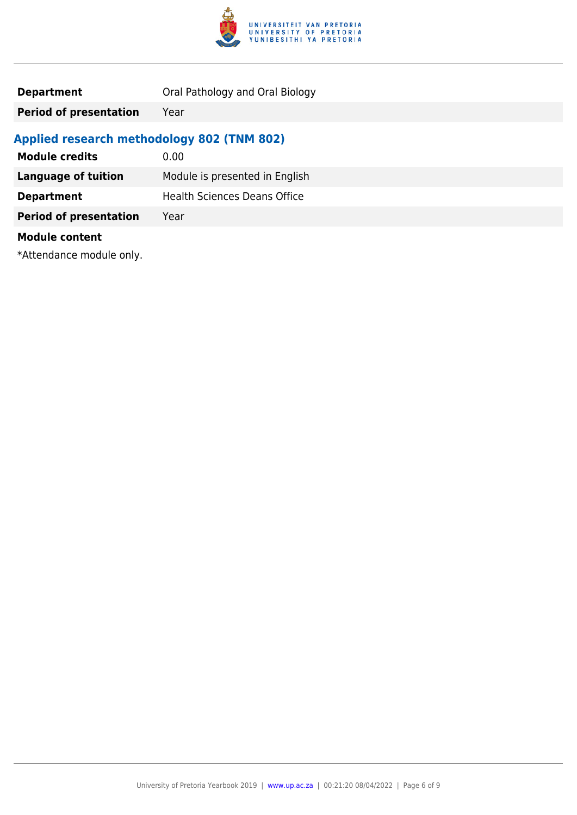

| <b>Department</b> | Oral Pathology and Oral Biology |
|-------------------|---------------------------------|
|-------------------|---------------------------------|

**Period of presentation** Year

### **Applied research methodology 802 (TNM 802)**

| <b>Module credits</b>         | 0.00                                |
|-------------------------------|-------------------------------------|
| <b>Language of tuition</b>    | Module is presented in English      |
| <b>Department</b>             | <b>Health Sciences Deans Office</b> |
| <b>Period of presentation</b> | Year                                |
| <b>Module content</b>         |                                     |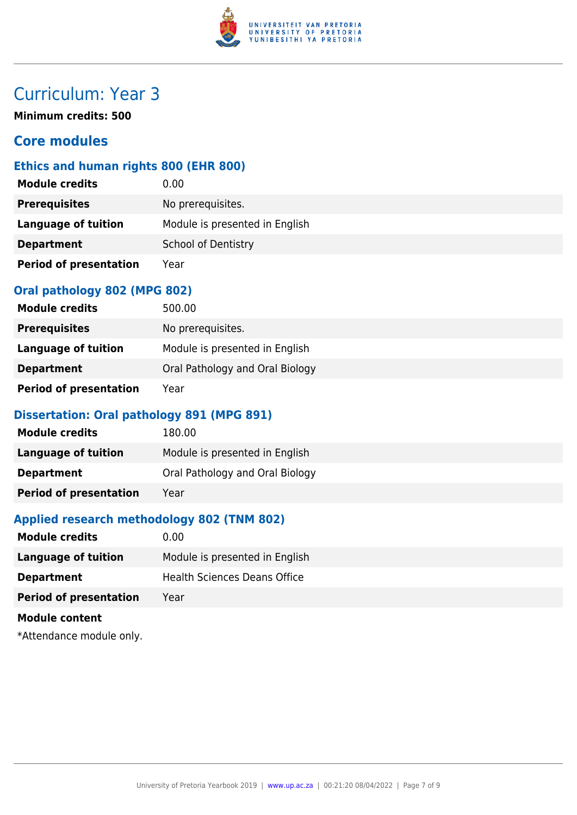

**Minimum credits: 500**

### **Core modules**

#### **Ethics and human rights 800 (EHR 800)**

| <b>Module credits</b>         | 0.00                           |
|-------------------------------|--------------------------------|
| <b>Prerequisites</b>          | No prerequisites.              |
| Language of tuition           | Module is presented in English |
| <b>Department</b>             | School of Dentistry            |
| <b>Period of presentation</b> | Year                           |

#### **Oral pathology 802 (MPG 802)**

| <b>Module credits</b>         | 500.00                          |
|-------------------------------|---------------------------------|
| <b>Prerequisites</b>          | No prerequisites.               |
| Language of tuition           | Module is presented in English  |
| <b>Department</b>             | Oral Pathology and Oral Biology |
| <b>Period of presentation</b> | Year                            |

#### **Dissertation: Oral pathology 891 (MPG 891)**

| <b>Module credits</b>         | 180.00                          |
|-------------------------------|---------------------------------|
| Language of tuition           | Module is presented in English  |
| <b>Department</b>             | Oral Pathology and Oral Biology |
| <b>Period of presentation</b> | Year                            |

#### **Applied research methodology 802 (TNM 802)**

| <b>Module credits</b>         | 0.00                                |
|-------------------------------|-------------------------------------|
| Language of tuition           | Module is presented in English      |
| <b>Department</b>             | <b>Health Sciences Deans Office</b> |
| <b>Period of presentation</b> | Year                                |
| <b>Module content</b>         |                                     |
|                               |                                     |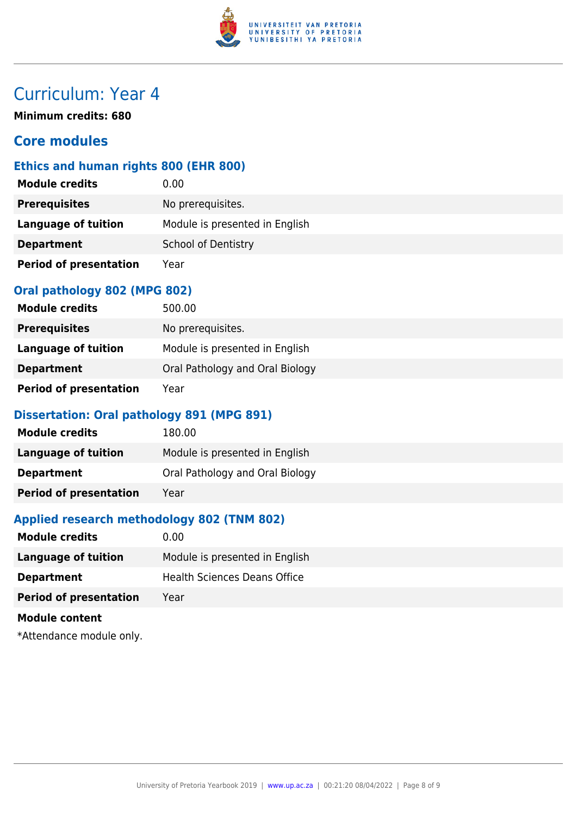

**Minimum credits: 680**

### **Core modules**

#### **Ethics and human rights 800 (EHR 800)**

| <b>Module credits</b>         | 0.00                           |
|-------------------------------|--------------------------------|
| <b>Prerequisites</b>          | No prerequisites.              |
| <b>Language of tuition</b>    | Module is presented in English |
| <b>Department</b>             | <b>School of Dentistry</b>     |
| <b>Period of presentation</b> | Year                           |

#### **Oral pathology 802 (MPG 802)**

| <b>Module credits</b>         | 500.00                          |
|-------------------------------|---------------------------------|
| <b>Prerequisites</b>          | No prerequisites.               |
| Language of tuition           | Module is presented in English  |
| <b>Department</b>             | Oral Pathology and Oral Biology |
| <b>Period of presentation</b> | Year                            |

#### **Dissertation: Oral pathology 891 (MPG 891)**

| <b>Module credits</b>         | 180.00                          |
|-------------------------------|---------------------------------|
| Language of tuition           | Module is presented in English  |
| <b>Department</b>             | Oral Pathology and Oral Biology |
| <b>Period of presentation</b> | Year                            |

#### **Applied research methodology 802 (TNM 802)**

| <b>Module credits</b>                                            | 0.00                                |
|------------------------------------------------------------------|-------------------------------------|
| <b>Language of tuition</b>                                       | Module is presented in English      |
| <b>Department</b>                                                | <b>Health Sciences Deans Office</b> |
| <b>Period of presentation</b>                                    | Year                                |
| <b>Module content</b>                                            |                                     |
| $\mathbf{a}$ is a set of $\mathbf{a}$ in the set of $\mathbf{a}$ |                                     |